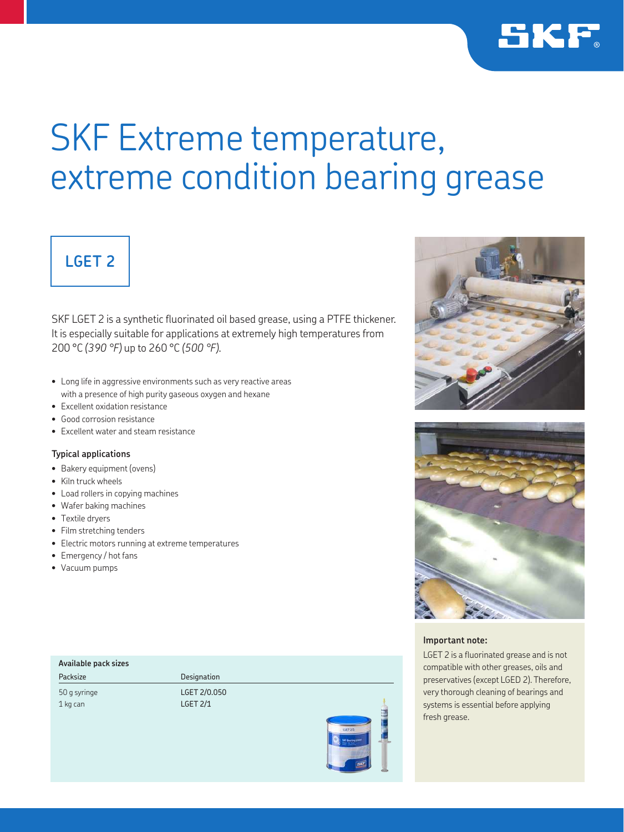

# SKF Extreme temperature, extreme condition bearing grease

# **LGET 2**

SKF LGET 2 is a synthetic fluorinated oil based grease, using a PTFE thickener. It is especially suitable for applications at extremely high temperatures from 200 °C *(390 °F)* up to 260 °C *(500 °F)*.

- Long life in aggressive environments such as very reactive areas with a presence of high purity gaseous oxygen and hexane
- Excellent oxidation resistance
- Good corrosion resistance
- Excellent water and steam resistance

### **Typical applications**

- Bakery equipment (ovens)
- Kiln truck wheels
- Load rollers in copying machines
- Wafer baking machines
- Textile dryers
- Film stretching tenders
- Electric motors running at extreme temperatures
- Emergency / hot fans
- Vacuum pumps

## **Available pack sizes**

Packsize Designation

50 g syringe LGET 2/0.050 1 kg can LGET 2/1







### **Important note:**

LGET 2 is a fluorinated grease and is not compatible with other greases, oils and preservatives (except LGED 2). Therefore, very thorough cleaning of bearings and systems is essential before applying fresh grease.